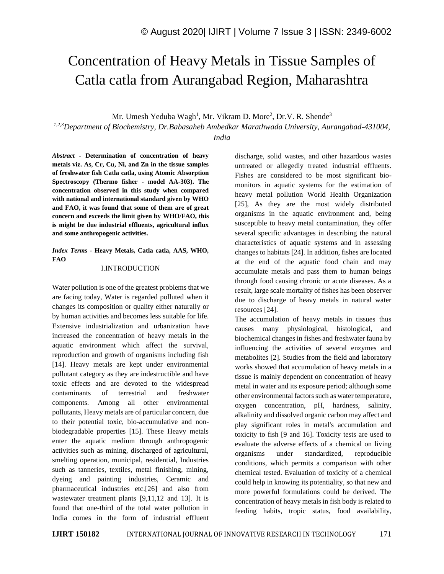# Concentration of Heavy Metals in Tissue Samples of Catla catla from Aurangabad Region, Maharashtra

Mr. Umesh Yeduba Wagh<sup>1</sup>, Mr. Vikram D. More<sup>2</sup>, Dr.V. R. Shende<sup>3</sup>

*1,2,3Department of Biochemistry, Dr.Babasaheb Ambedkar Marathwada University, Aurangabad-431004,* 

*India*

*Abstract -* **Determination of concentration of heavy metals viz. As, Cr, Cu, Ni, and Zn in the tissue samples of freshwater fish Catla catla, using Atomic Absorption Spectroscopy (Thermo fisher - model AA-303). The concentration observed in this study when compared with national and international standard given by WHO and FAO, it was found that some of them are of great concern and exceeds the limit given by WHO/FAO, this is might be due industrial effluents, agricultural influx and some anthropogenic activities.**

*Index Terms -* **Heavy Metals, Catla catla, AAS, WHO, FAO**

#### I.INTRODUCTION

Water pollution is one of the greatest problems that we are facing today, Water is regarded polluted when it changes its composition or quality either naturally or by human activities and becomes less suitable for life. Extensive industrialization and urbanization have increased the concentration of heavy metals in the aquatic environment which affect the survival, reproduction and growth of organisms including fish [14]. Heavy metals are kept under environmental pollutant category as they are indestructible and have toxic effects and are devoted to the widespread contaminants of terrestrial and freshwater components. Among all other environmental pollutants, Heavy metals are of particular concern, due to their potential toxic, bio-accumulative and nonbiodegradable properties [15]. These Heavy metals enter the aquatic medium through anthropogenic activities such as mining, discharged of agricultural, smelting operation, municipal, residential, Industries such as tanneries, textiles, metal finishing, mining, dyeing and painting industries, Ceramic and pharmaceutical industries etc.[26] and also from wastewater treatment plants [9,11,12 and 13]. It is found that one-third of the total water pollution in India comes in the form of industrial effluent

discharge, solid wastes, and other hazardous wastes untreated or allegedly treated industrial effluents. Fishes are considered to be most significant biomonitors in aquatic systems for the estimation of heavy metal pollution World Health Organization [25], As they are the most widely distributed organisms in the aquatic environment and, being susceptible to heavy metal contamination, they offer several specific advantages in describing the natural characteristics of aquatic systems and in assessing changes to habitats [24]. In addition, fishes are located at the end of the aquatic food chain and may accumulate metals and pass them to human beings through food causing chronic or acute diseases. As a result, large scale mortality of fishes has been observer due to discharge of heavy metals in natural water resources [24].

The accumulation of heavy metals in tissues thus causes many physiological, histological, and biochemical changes in fishes and freshwater fauna by influencing the activities of several enzymes and metabolites [2]. Studies from the field and laboratory works showed that accumulation of heavy metals in a tissue is mainly dependent on concentration of heavy metal in water and its exposure period; although some other environmental factors such as water temperature, oxygen concentration, pH, hardness, salinity, alkalinity and dissolved organic carbon may affect and play significant roles in metal's accumulation and toxicity to fish [9 and 16]. Toxicity tests are used to evaluate the adverse effects of a chemical on living organisms under standardized, reproducible conditions, which permits a comparison with other chemical tested. Evaluation of toxicity of a chemical could help in knowing its potentiality, so that new and more powerful formulations could be derived. The concentration of heavy metals in fish body is related to feeding habits, tropic status, food availability,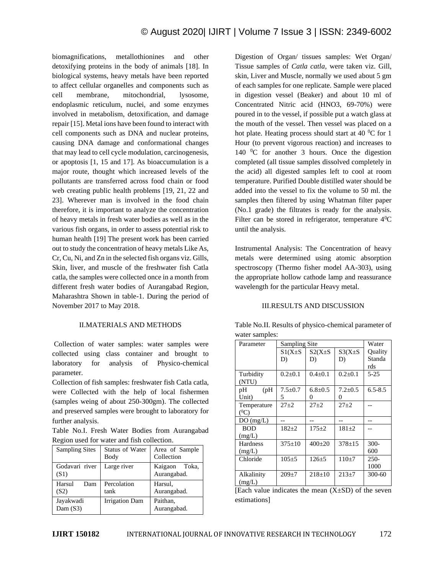biomagnifications, metallothionines and other detoxifying proteins in the body of animals [18]. In biological systems, heavy metals have been reported to affect cellular organelles and components such as cell membrane, mitochondrial, lysosome, endoplasmic reticulum, nuclei, and some enzymes involved in metabolism, detoxification, and damage repair [15]. Metal ions have been found to interact with cell components such as DNA and nuclear proteins, causing DNA damage and conformational changes that may lead to cell cycle modulation, carcinogenesis, or apoptosis [1, 15 and 17]. As bioaccumulation is a major route, thought which increased levels of the pollutants are transferred across food chain or food web creating public health problems [19, 21, 22 and 23]. Wherever man is involved in the food chain therefore, it is important to analyze the concentration of heavy metals in fresh water bodies as well as in the various fish organs, in order to assess potential risk to human health [19] The present work has been carried out to study the concentration of heavy metals Like As, Cr, Cu, Ni, and Zn in the selected fish organs viz. Gills, Skin, liver, and muscle of the freshwater fish Catla catla, the samples were collected once in a month from different fresh water bodies of Aurangabad Region, Maharashtra Shown in table-1. During the period of November 2017 to May 2018.

## II.MATERIALS AND METHODS

Collection of water samples: water samples were collected using class container and brought to laboratory for analysis of Physico-chemical parameter.

Collection of fish samples: freshwater fish Catla catla, were Collected with the help of local fishermen (samples weing of about 250-300gm). The collected and preserved samples were brought to laboratory for further analysis.

Table No.I. Fresh Water Bodies from Aurangabad Region used for water and fish collection.

| <b>Sampling Sites</b>   | Status of Water<br>Body | Area of Sample<br>Collection |
|-------------------------|-------------------------|------------------------------|
| Godavari river<br>(S1)  | Large river             | Kaigaon Toka,<br>Aurangabad. |
| Harsul<br>Dam<br>(S2)   | Percolation<br>tank     | Harsul,<br>Aurangabad.       |
| Jayakwadi<br>Dam $(S3)$ | <b>Irrigation Dam</b>   | Paithan.<br>Aurangabad.      |

Digestion of Organ/ tissues samples: Wet Organ/ Tissue samples of *Catla catla,* were taken viz. Gill, skin, Liver and Muscle, normally we used about 5 gm of each samples for one replicate. Sample were placed in digestion vessel (Beaker) and about 10 ml of Concentrated Nitric acid (HNO3, 69-70%) were poured in to the vessel, if possible put a watch glass at the mouth of the vessel. Then vessel was placed on a hot plate. Heating process should start at 40  $^{\circ}$ C for 1 Hour (to prevent vigorous reaction) and increases to 140  $^{\circ}$ C for another 3 hours. Once the digestion completed (all tissue samples dissolved completely in the acid) all digested samples left to cool at room temperature. Purified Double distilled water should be added into the vessel to fix the volume to 50 ml. the samples then filtered by using Whatman filter paper (No.1 grade) the filtrates is ready for the analysis. Filter can be stored in refrigerator, temperature  $4^0C$ until the analysis.

Instrumental Analysis: The Concentration of heavy metals were determined using atomic absorption spectroscopy (Thermo fisher model AA-303), using the appropriate hollow cathode lamp and reassurance wavelength for the particular Heavy metal.

### III.RESULTS AND DISCUSSION

| water bampies. |               |               |                   |             |
|----------------|---------------|---------------|-------------------|-------------|
| Parameter      | Sampling Site | Water         |                   |             |
|                | $S1(X\pm S)$  | $S2(X\pm S)$  | $S3(X\pm S)$      | Quality     |
|                | D)            | D)            | D)                | Standa      |
|                |               |               |                   | rds         |
| Turbidity      | $0.2 \pm 0.1$ | $0.4 \pm 0.1$ | $0.2 + 0.1$       | $5 - 25$    |
| (NTU)          |               |               |                   |             |
| pH<br>(pH)     | $7.5 \pm 0.7$ | $6.8 + 0.5$   | $7.2 + 0.5$       | $6.5 - 8.5$ |
| Unit)          | 5             | $\theta$      | $\mathbf{\Omega}$ |             |
| Temperature    | $27 + 2$      | $27 + 2$      | $27 + 2$          |             |
| $(^0C)$        |               |               |                   |             |
| DO(mg/L)       |               |               |                   |             |
| <b>BOD</b>     | $182+2$       | $175 + 2$     | $181 + 2$         |             |
| (mg/L)         |               |               |                   |             |
| Hardness       | $375 \pm 10$  | $400 \pm 20$  | $378 + 15$        | $300 -$     |
| (mg/L)         |               |               |                   | 600         |
| Chloride       | $105 + 5$     | $126 + 5$     | $110+7$           | $250 -$     |
|                |               |               |                   | 1000        |
| Alkalinity     | $209 + 7$     | $218 \pm 10$  | $213+7$           | 300-60      |
| (mg/L)         |               |               |                   |             |

Table No.II. Results of physico-chemical parameter of water samples:

[Each value indicates the mean  $(X \pm SD)$  of the seven estimations]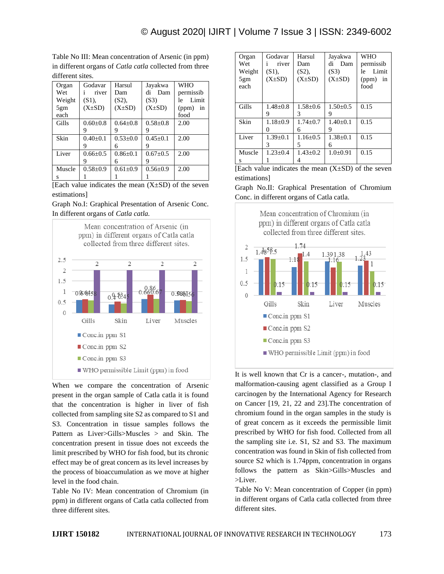Table No III: Mean concentration of Arsenic (in ppm) in different organs of *Catla catla* collected from three different sites.

| Organ  | Godavar               | Harsul         | Jayakwa        | <b>WHO</b>  |
|--------|-----------------------|----------------|----------------|-------------|
|        |                       |                |                |             |
| Wet    | river<br>$\mathbf{1}$ | Dam            | di<br>Dam      | permissib   |
| Weight | $(S1)$ ,              | (S2),          | (S3)           | Limit<br>le |
| 5gm    | $(X\pm SD)$           | $(X\pm SD)$    | $(X\pm SD)$    | (ppm)<br>in |
| each   |                       |                |                | food        |
| Gills  | $0.60 + 0.8$          | $0.64 + 0.8$   | $0.58 + 0.8$   | 2.00        |
|        | 9                     |                | 9              |             |
| Skin   | $0.40 \pm 0.1$        | $0.53+0.0$     | $0.45 + 0.1$   | 2.00        |
|        | 9                     | 6              | 9              |             |
| Liver  | $0.66 + 0.5$          | $0.86 + 0.1$   | $0.67 \pm 0.5$ | 2.00        |
|        | 9                     | 6              | 9              |             |
| Muscle | $0.58 + 0.9$          | $0.61 \pm 0.9$ | $0.56 + 0.9$   | 2.00        |
| s      |                       |                |                |             |

[Each value indicates the mean  $(X \pm SD)$  of the seven estimations]

Graph No.I: Graphical Presentation of Arsenic Conc. In different organs of *Catla catla.*



When we compare the concentration of Arsenic present in the organ sample of Catla catla it is found that the concentration is higher in liver of fish collected from sampling site S2 as compared to S1 and S3. Concentration in tissue samples follows the Pattern as Liver>Gills>Muscles > and Skin. The concentration present in tissue does not exceeds the limit prescribed by WHO for fish food, but its chronic effect may be of great concern as its level increases by the process of bioaccumulation as we move at higher level in the food chain.

Table No IV: Mean concentration of Chromium (in ppm) in different organs of Catla catla collected from three different sites.

| Organ  | Godavar               | Harsul       | Jayakwa        | <b>WHO</b>  |
|--------|-----------------------|--------------|----------------|-------------|
| Wet    | river<br>$\mathbf{1}$ | Dam          | di Dam         | permissib   |
| Weight | $(S1)$ ,              | (S2),        | (S3)           | Limit<br>le |
| 5gm    | $(X\pm SD)$           | $(X\pm SD)$  | $(X\pm SD)$    | (ppm)<br>in |
| each   |                       |              |                | food        |
|        |                       |              |                |             |
|        |                       |              |                |             |
| Gills  | $1.48 \pm 0.8$        | $1.58 + 0.6$ | $1.50 \pm 0.5$ | 0.15        |
|        | 9                     | 3            | 9              |             |
| Skin   | $1.18 \pm 0.9$        | $1.74 + 0.7$ | $1.40+0.1$     | 0.15        |
|        | $\theta$              | 6            | 9              |             |
| Liver  | $1.39 \pm 0.1$        | $1.16 + 0.5$ | $1.38 + 0.1$   | 0.15        |
|        | 3                     | 5            | 6              |             |
| Muscle | $1.23 \pm 0.4$        | $1.43 + 0.2$ | $1.0+0.91$     | 0.15        |
| s      |                       | 4            |                |             |

[Each value indicates the mean  $(X \pm SD)$  of the seven estimations]

Graph No.II: Graphical Presentation of Chromium Conc. in different organs of Catla catla.



It is well known that Cr is a cancer-, mutation-, and malformation-causing agent classified as a Group I carcinogen by the International Agency for Research on Cancer [19, 21, 22 and 23].The concentration of chromium found in the organ samples in the study is of great concern as it exceeds the permissible limit prescribed by WHO for fish food. Collected from all the sampling site i.e. S1, S2 and S3. The maximum concentration was found in Skin of fish collected from source S2 which is 1.74ppm, concentration in organs follows the pattern as Skin>Gills>Muscles and >Liver.

Table No V: Mean concentration of Copper (in ppm) in different organs of Catla catla collected from three different sites.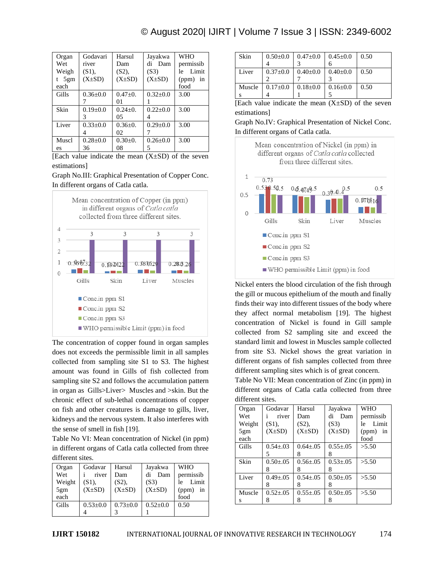# © August 2020| IJIRT | Volume 7 Issue 3 | ISSN: 2349-6002

| Organ   | Godavari       | Harsul        | Jayakwa        | <b>WHO</b>   |
|---------|----------------|---------------|----------------|--------------|
| Wet     | river          | Dam           | di Dam         | permissib    |
| Weigh   | $(S1)$ ,       | $(S2)$ ,      | (S3)           | Limit<br>le. |
| t $5gm$ | $(X\pm SD)$    | $(X\pm SD)$   | $(X\pm SD)$    | $(ppm)$ in   |
| each    |                |               |                | food         |
| Gills   | $0.36 + 0.0$   | $0.47+0.$     | $0.32 + 0.0$   | 3.00         |
|         |                | 01            |                |              |
| Skin    | $0.19 + 0.0$   | $0.24 \pm 0.$ | $0.22 \pm 0.0$ | 3.00         |
|         | 3              | 05            |                |              |
| Liver   | $0.33 \pm 0.0$ | $0.36 \pm 0.$ | $0.29 \pm 0.0$ | 3.00         |
|         | 4              | 02            |                |              |
| Muscl   | $0.28 \pm 0.0$ | $0.30+0.$     | $0.26 + 0.0$   | 3.00         |
| es      | 36             | 08            | 5              |              |

[Each value indicate the mean  $(X \pm SD)$  of the seven estimations]

### Graph No.III: Graphical Presentation of Copper Conc. In different organs of Catla catla.



The concentration of copper found in organ samples does not exceeds the permissible limit in all samples collected from sampling site S1 to S3. The highest amount was found in Gills of fish collected from sampling site S2 and follows the accumulation pattern in organ as Gills>Liver> Muscles and >skin. But the chronic effect of sub-lethal concentrations of copper on fish and other creatures is damage to gills, liver, kidneys and the nervous system. It also interferes with the sense of smell in fish [19].

Table No VI: Mean concentration of Nickel (in ppm) in different organs of Catla catla collected from three different sites.

| Organ  | Godavar        | Harsul       | Jayakwa        | <b>WHO</b>  |
|--------|----------------|--------------|----------------|-------------|
| Wet    | river          | Dam          | di<br>Dam      | permissib   |
| Weight | $(S1)$ ,       | $(S2)$ ,     | (S3)           | Limit<br>le |
| 5gm    | $(X\pm SD)$    | $(X\pm SD)$  | $(X\pm SD)$    | (ppm)<br>in |
| each   |                |              |                | food        |
| Gills  | $0.53 \pm 0.0$ | $0.73 + 0.0$ | $0.52 \pm 0.0$ | 0.50        |
|        |                |              |                |             |

| $0.50 \pm 0.0$ |                |                | 0.50                                          |
|----------------|----------------|----------------|-----------------------------------------------|
|                |                |                |                                               |
| $0.37 \pm 0.0$ | $0.40{\pm}0.0$ | $0.40 \pm 0.0$ | 0.50                                          |
|                |                |                |                                               |
| $0.17 \pm 0.0$ | $0.18 \pm 0.0$ | $0.16 \pm 0.0$ | 0.50                                          |
|                |                |                |                                               |
|                |                |                | $\vert 0.47 \pm 0.0 \vert 0.45 \pm 0.0 \vert$ |

[Each value indicate the mean  $(X \pm SD)$  of the seven estimations]

Graph No.IV: Graphical Presentation of Nickel Conc. In different organs of Catla catla.



Nickel enters the blood circulation of the fish through the gill or mucous epithelium of the mouth and finally finds their way into different tissues of the body where they affect normal metabolism [19]. The highest concentration of Nickel is found in Gill sample collected from S2 sampling site and exceed the standard limit and lowest in Muscles sample collected from site S3. Nickel shows the great variation in different organs of fish samples collected from three different sampling sites which is of great concern.

Table No VII: Mean concentration of Zinc (in ppm) in different organs of Catla catla collected from three different sites.

| Organ  | Godavar         | Harsul          | Jayakwa         | <b>WHO</b>  |
|--------|-----------------|-----------------|-----------------|-------------|
| Wet    | river<br>i.     | Dam             | di<br>Dam       | permissib   |
| Weight | $(S1)$ ,        | (S2),           | (S3)            | Limit<br>le |
| 5gm    | $(X\pm SD)$     | $(X\pm SD)$     | $(X\pm SD)$     | (ppm)<br>in |
| each   |                 |                 |                 | food        |
| Gills  | $0.54 \pm 0.03$ | $0.64 + 0.05$   | $0.55 \pm 0.05$ | > 5.50      |
|        | 5               | 8               | 8               |             |
| Skin   | $0.50 + 0.05$   | $0.56 \pm 0.05$ | $0.53 \pm 0.05$ | > 5.50      |
|        | 8               | 8               | 8               |             |
| Liver  | $0.49 \pm 0.05$ | $0.54 + 0.05$   | $0.50 + 0.05$   | > 5.50      |
|        | 8               | 8               | 8               |             |
| Muscle | $0.52 + 0.05$   | $0.55 + 0.05$   | $0.50 + 0.05$   | > 5.50      |
| S      | 8               |                 | 8               |             |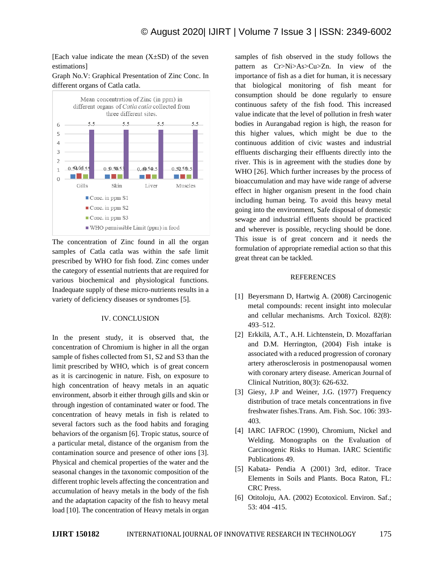[Each value indicate the mean  $(X \pm SD)$  of the seven estimations]

### Graph No.V: Graphical Presentation of Zinc Conc. In different organs of Catla catla.



The concentration of Zinc found in all the organ samples of Catla catla was within the safe limit prescribed by WHO for fish food. Zinc comes under the category of essential nutrients that are required for various biochemical and physiological functions. Inadequate supply of these micro-nutrients results in a variety of deficiency diseases or syndromes [5].

### IV. CONCLUSION

In the present study, it is observed that, the concentration of Chromium is higher in all the organ sample of fishes collected from S1, S2 and S3 than the limit prescribed by WHO, which is of great concern as it is carcinogenic in nature. Fish, on exposure to high concentration of heavy metals in an aquatic environment, absorb it either through gills and skin or through ingestion of contaminated water or food. The concentration of heavy metals in fish is related to several factors such as the food habits and foraging behaviors of the organism [6]. Tropic status, source of a particular metal, distance of the organism from the contamination source and presence of other ions [3]. Physical and chemical properties of the water and the seasonal changes in the taxonomic composition of the different trophic levels affecting the concentration and accumulation of heavy metals in the body of the fish and the adaptation capacity of the fish to heavy metal load [10]. The concentration of Heavy metals in organ samples of fish observed in the study follows the pattern as Cr>Ni>As>Cu>Zn. In view of the importance of fish as a diet for human, it is necessary that biological monitoring of fish meant for consumption should be done regularly to ensure continuous safety of the fish food. This increased value indicate that the level of pollution in fresh water bodies in Aurangabad region is high, the reason for this higher values, which might be due to the continuous addition of civic wastes and industrial effluents discharging their effluents directly into the river. This is in agreement with the studies done by WHO [26]. Which further increases by the process of bioaccumulation and may have wide range of adverse effect in higher organism present in the food chain including human being. To avoid this heavy metal going into the environment, Safe disposal of domestic sewage and industrial effluents should be practiced and wherever is possible, recycling should be done. This issue is of great concern and it needs the formulation of appropriate remedial action so that this great threat can be tackled.

### REFERENCES

- [1] Beyersmann D, Hartwig A. (2008) Carcinogenic metal compounds: recent insight into molecular and cellular mechanisms. Arch Toxicol. 82(8): 493–512.
- [2] Erkkilä, A.T., A.H. Lichtenstein, D. Mozaffarian and D.M. Herrington, (2004) Fish intake is associated with a reduced progression of coronary artery atherosclerosis in postmenopausal women with coronary artery disease. American Journal of Clinical Nutrition, 80(3): 626-632.
- [3] Giesy, J.P and Weiner, J.G. (1977) Frequency distribution of trace metals concentrations in five freshwater fishes.Trans. Am. Fish. Soc. 106: 393- 403.
- [4] IARC IAFROC (1990), Chromium, Nickel and Welding. Monographs on the Evaluation of Carcinogenic Risks to Human. IARC Scientific Publications 49.
- [5] Kabata- Pendia A (2001) 3rd, editor. Trace Elements in Soils and Plants. Boca Raton, FL: CRC Press.
- [6] Otitoloju, AA. (2002) Ecotoxicol. Environ. Saf.; 53: 404 -415.